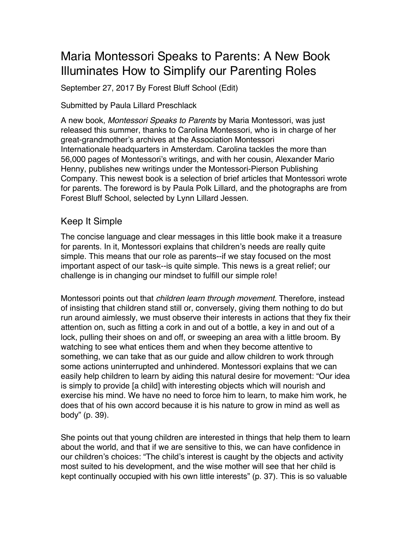# Maria Montessori Speaks to Parents: A New Book Illuminates How to Simplify our Parenting Roles

September 27, 2017 By Forest Bluff School (Edit)

#### Submitted by Paula Lillard Preschlack

A new book, *Montessori Speaks to Parents* by Maria Montessori, was just released this summer, thanks to Carolina Montessori, who is in charge of her great-grandmother's archives at the Association Montessori Internationale headquarters in Amsterdam. Carolina tackles the more than 56,000 pages of Montessori's writings, and with her cousin, Alexander Mario Henny, publishes new writings under the Montessori-Pierson Publishing Company. This newest book is a selection of brief articles that Montessori wrote for parents. The foreword is by Paula Polk Lillard, and the photographs are from Forest Bluff School, selected by Lynn Lillard Jessen.

### Keep It Simple

The concise language and clear messages in this little book make it a treasure for parents. In it, Montessori explains that children's needs are really quite simple. This means that our role as parents--if we stay focused on the most important aspect of our task--is quite simple. This news is a great relief; our challenge is in changing our mindset to fulfill our simple role!

Montessori points out that *children learn through movement.* Therefore, instead of insisting that children stand still or, conversely, giving them nothing to do but run around aimlessly, we must observe their interests in actions that they fix their attention on, such as fitting a cork in and out of a bottle, a key in and out of a lock, pulling their shoes on and off, or sweeping an area with a little broom. By watching to see what entices them and when they become attentive to something, we can take that as our guide and allow children to work through some actions uninterrupted and unhindered. Montessori explains that we can easily help children to learn by aiding this natural desire for movement: "Our idea is simply to provide [a child] with interesting objects which will nourish and exercise his mind. We have no need to force him to learn, to make him work, he does that of his own accord because it is his nature to grow in mind as well as body" (p. 39).

She points out that young children are interested in things that help them to learn about the world, and that if we are sensitive to this, we can have confidence in our children's choices: "The child's interest is caught by the objects and activity most suited to his development, and the wise mother will see that her child is kept continually occupied with his own little interests" (p. 37). This is so valuable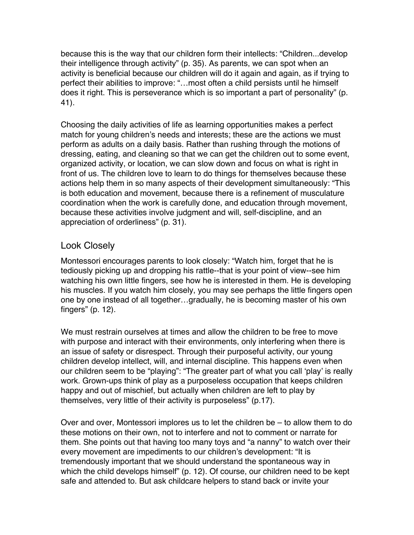because this is the way that our children form their intellects: "Children...develop their intelligence through activity" (p. 35). As parents, we can spot when an activity is beneficial because our children will do it again and again, as if trying to perfect their abilities to improve: "…most often a child persists until he himself does it right. This is perseverance which is so important a part of personality" (p. 41).

Choosing the daily activities of life as learning opportunities makes a perfect match for young children's needs and interests; these are the actions we must perform as adults on a daily basis. Rather than rushing through the motions of dressing, eating, and cleaning so that we can get the children out to some event, organized activity, or location, we can slow down and focus on what is right in front of us. The children love to learn to do things for themselves because these actions help them in so many aspects of their development simultaneously: "This is both education and movement, because there is a refinement of musculature coordination when the work is carefully done, and education through movement, because these activities involve judgment and will, self-discipline, and an appreciation of orderliness" (p. 31).

### Look Closely

Montessori encourages parents to look closely: "Watch him, forget that he is tediously picking up and dropping his rattle--that is your point of view--see him watching his own little fingers, see how he is interested in them. He is developing his muscles. If you watch him closely, you may see perhaps the little fingers open one by one instead of all together…gradually, he is becoming master of his own fingers" (p. 12).

We must restrain ourselves at times and allow the children to be free to move with purpose and interact with their environments, only interfering when there is an issue of safety or disrespect. Through their purposeful activity, our young children develop intellect, will, and internal discipline. This happens even when our children seem to be "playing": "The greater part of what you call 'play' is really work. Grown-ups think of play as a purposeless occupation that keeps children happy and out of mischief, but actually when children are left to play by themselves, very little of their activity is purposeless" (p.17).

Over and over, Montessori implores us to let the children be – to allow them to do these motions on their own, not to interfere and not to comment or narrate for them. She points out that having too many toys and "a nanny" to watch over their every movement are impediments to our children's development: "It is tremendously important that we should understand the spontaneous way in which the child develops himself" (p. 12). Of course, our children need to be kept safe and attended to. But ask childcare helpers to stand back or invite your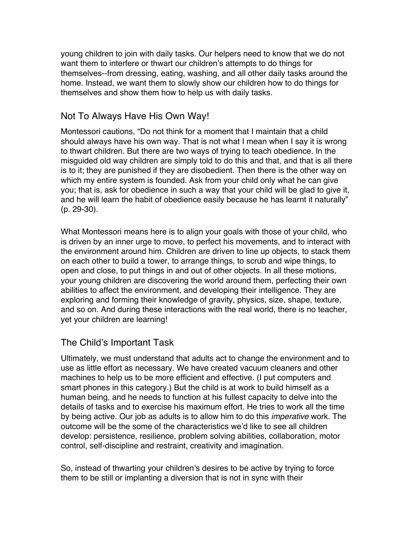young children to join with daily tasks. Our helpers need to know that we do not want them to interfere or thwart our children's attempts to do things for themselves--from dressing, eating, washing, and all other daily tasks around the home. Instead, we want them to slowly show our children how to do things for themselves and show them how to help us with daily tasks.

## Not To Always Have His Own Way!

Montessori cautions, "Do not think for a moment that I maintain that a child should always have his own way. That is not what I mean when I say it is wrong to thwart children. But there are two ways of trying to teach obedience. In the misguided old way children are simply told to do this and that, and that is all there is to it; they are punished if they are disobedient. Then there is the other way on which my entire system is founded. Ask from your child only what he can give you; that is, ask for obedience in such a way that your child will be glad to give it, and he will learn the habit of obedience easily because he has learnt it naturally" (p. 29-30).

What Montessori means here is to align your goals with those of your child, who is driven by an inner urge to move, to perfect his movements, and to interact with the environment around him. Children are driven to line up objects, to stack them on each other to build a tower, to arrange things, to scrub and wipe things, to open and close, to put things in and out of other objects. In all these motions, your young children are discovering the world around them, perfecting their own abilities to affect the environment, and developing their intelligence. They are exploring and forming their knowledge of gravity, physics, size, shape, texture, and so on. And during these interactions with the real world, there is no teacher, yet your children are learning!

### The Child's Important Task

Ultimately, we must understand that adults act to change the environment and to use as little effort as necessary. We have created vacuum cleaners and other machines to help us to be more efficient and effective. (I put computers and smart phones in this category.) But the child is at work to build himself as a human being, and he needs to function at his fullest capacity to delve into the details of tasks and to exercise his maximum effort. He tries to work all the time by being active. Our job as adults is to allow him to do this *imperative* work. The outcome will be the some of the characteristics we'd like to see all children develop: persistence, resilience, problem solving abilities, collaboration, motor control, self-discipline and restraint, creativity and imagination.

So, instead of thwarting your children's desires to be active by trying to force them to be still or implanting a diversion that is not in sync with their